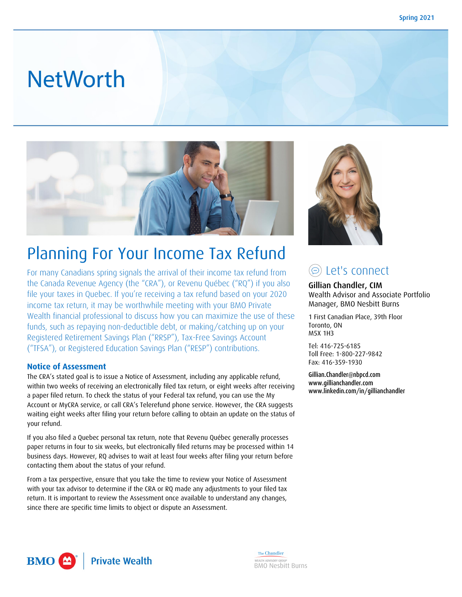# **NetWorth**



## Planning For Your Income Tax Refund

For many Canadians spring signals the arrival of their income tax refund from the Canada Revenue Agency (the "CRA"), or Revenu Québec ("RQ") if you also file your taxes in Quebec. If you're receiving a tax refund based on your 2020 income tax return, it may be worthwhile meeting with your BMO Private Wealth financial professional to discuss how you can maximize the use of these funds, such as repaying non-deductible debt, or making/catching up on your Registered Retirement Savings Plan ("RRSP"), Tax-Free Savings Account ("TFSA"), or Registered Education Savings Plan ("RESP") contributions.

#### **Notice of Assessment**

The CRA's stated goal is to issue a Notice of Assessment, including any applicable refund, within two weeks of receiving an electronically filed tax return, or eight weeks after receiving a paper filed return. To check the status of your Federal tax refund, you can use the My Account or MyCRA service, or call CRA's Telerefund phone service. However, the CRA suggests waiting eight weeks after filing your return before calling to obtain an update on the status of your refund.

If you also filed a Quebec personal tax return, note that Revenu Québec generally processes paper returns in four to six weeks, but electronically filed returns may be processed within 14 business days. However, RQ advises to wait at least four weeks after filing your return before contacting them about the status of your refund.

From a tax perspective, ensure that you take the time to review your Notice of Assessment with your tax advisor to determine if the CRA or RQ made any adjustments to your filed tax return. It is important to review the Assessment once available to understand any changes, since there are specific time limits to object or dispute an Assessment.



### Let's connect

Gillian Chandler, CIM Wealth Advisor and Associate Portfolio Manager, BMO Nesbitt Burns

1 First Canadian Place, 39th Floor Toronto, ON M5X 1H3

Tel: 416-725-6185 Toll Free: 1-800-227-9842 Fax: 416-359-1930

Gillian.Chandler@nbpcd.com www.gillianchandler.com www.linkedin.com/in/gillianchandler



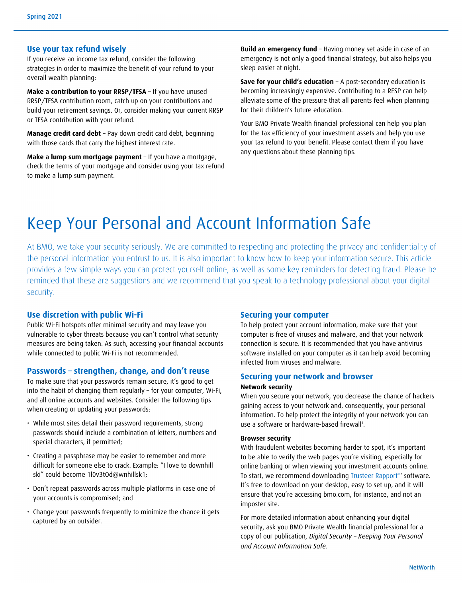#### **Use your tax refund wisely**

If you receive an income tax refund, consider the following strategies in order to maximize the benefit of your refund to your overall wealth planning:

**Make a contribution to your RRSP/TFSA** – If you have unused RRSP/TFSA contribution room, catch up on your contributions and build your retirement savings. Or, consider making your current RRSP or TFSA contribution with your refund.

**Manage credit card debt** – Pay down credit card debt, beginning with those cards that carry the highest interest rate.

**Make a lump sum mortgage payment** – If you have a mortgage, check the terms of your mortgage and consider using your tax refund to make a lump sum payment.

**Build an emergency fund** – Having money set aside in case of an emergency is not only a good financial strategy, but also helps you sleep easier at night.

**Save for your child's education** – A post-secondary education is becoming increasingly expensive. Contributing to a RESP can help alleviate some of the pressure that all parents feel when planning for their children's future education.

Your BMO Private Wealth financial professional can help you plan for the tax efficiency of your investment assets and help you use your tax refund to your benefit. Please contact them if you have any questions about these planning tips.

### Keep Your Personal and Account Information Safe

At BMO, we take your security seriously. We are committed to respecting and protecting the privacy and confidentiality of the personal information you entrust to us. It is also important to know how to keep your information secure. This article provides a few simple ways you can protect yourself online, as well as some key reminders for detecting fraud. Please be reminded that these are suggestions and we recommend that you speak to a technology professional about your digital security.

#### **Use discretion with public Wi-Fi**

Public Wi-Fi hotspots offer minimal security and may leave you vulnerable to cyber threats because you can't control what security measures are being taken. As such, accessing your financial accounts while connected to public Wi-Fi is not recommended.

#### **Passwords – strengthen, change, and don't reuse**

To make sure that your passwords remain secure, it's good to get into the habit of changing them regularly – for your computer, Wi-Fi, and all online accounts and websites. Consider the following tips when creating or updating your passwords:

- While most sites detail their password requirements, strong passwords should include a combination of letters, numbers and special characters, if permitted;
- Creating a passphrase may be easier to remember and more difficult for someone else to crack. Example: "I love to downhill ski" could become 1l0v3tOd@wnhillsk1;
- Don't repeat passwords across multiple platforms in case one of your accounts is compromised; and
- Change your passwords frequently to minimize the chance it gets captured by an outsider.

#### **Securing your computer**

To help protect your account information, make sure that your computer is free of viruses and malware, and that your network connection is secure. It is recommended that you have antivirus software installed on your computer as it can help avoid becoming infected from viruses and malware.

#### **Securing your network and browser**

#### **Network security**

When you secure your network, you decrease the chance of hackers gaining access to your network and, consequently, your personal information. To help protect the integrity of your network you can use a software or hardware-based firewall<sup>1</sup>.

#### **Browser security**

With fraudulent websites becoming harder to spot, it's important to be able to verify the web pages you're visiting, especially for online banking or when viewing your investment accounts online. To start, we recommend downloading Trusteer Rapport<sup>®2</sup> software. It's free to download on your desktop, easy to set up, and it will ensure that you're accessing bmo.com, for instance, and not an imposter site.

For more detailed information about enhancing your digital security, ask you BMO Private Wealth financial professional for a copy of our publication, *Digital Security – Keeping Your Personal and Account Information Safe.*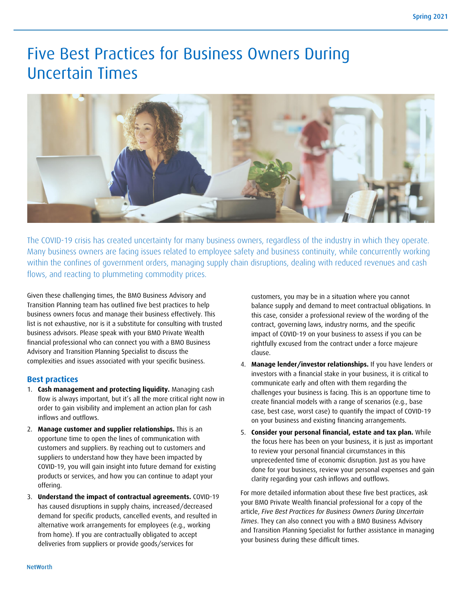### Five Best Practices for Business Owners During Uncertain Times



The COVID-19 crisis has created uncertainty for many business owners, regardless of the industry in which they operate. Many business owners are facing issues related to employee safety and business continuity, while concurrently working within the confines of government orders, managing supply chain disruptions, dealing with reduced revenues and cash flows, and reacting to plummeting commodity prices.

Given these challenging times, the BMO Business Advisory and Transition Planning team has outlined five best practices to help business owners focus and manage their business effectively. This list is not exhaustive, nor is it a substitute for consulting with trusted business advisors. Please speak with your BMO Private Wealth financial professional who can connect you with a BMO Business Advisory and Transition Planning Specialist to discuss the complexities and issues associated with your specific business.

#### **Best practices**

- 1. **Cash management and protecting liquidity.** Managing cash flow is always important, but it's all the more critical right now in order to gain visibility and implement an action plan for cash inflows and outflows.
- 2. **Manage customer and supplier relationships.** This is an opportune time to open the lines of communication with customers and suppliers. By reaching out to customers and suppliers to understand how they have been impacted by COVID-19, you will gain insight into future demand for existing products or services, and how you can continue to adapt your offering.
- 3. **Understand the impact of contractual agreements.** COVID-19 has caused disruptions in supply chains, increased/decreased demand for specific products, cancelled events, and resulted in alternative work arrangements for employees (e.g., working from home). If you are contractually obligated to accept deliveries from suppliers or provide goods/services for

customers, you may be in a situation where you cannot balance supply and demand to meet contractual obligations. In this case, consider a professional review of the wording of the contract, governing laws, industry norms, and the specific impact of COVID-19 on your business to assess if you can be rightfully excused from the contract under a force majeure clause.

- 4. **Manage lender/investor relationships.** If you have lenders or investors with a financial stake in your business, it is critical to communicate early and often with them regarding the challenges your business is facing. This is an opportune time to create financial models with a range of scenarios (e.g., base case, best case, worst case) to quantify the impact of COVID-19 on your business and existing financing arrangements.
- 5. **Consider your personal financial, estate and tax plan.** While the focus here has been on your business, it is just as important to review your personal financial circumstances in this unprecedented time of economic disruption. Just as you have done for your business, review your personal expenses and gain clarity regarding your cash inflows and outflows.

For more detailed information about these five best practices, ask your BMO Private Wealth financial professional for a copy of the article, *Five Best Practices for Business Owners During Uncertain Times*. They can also connect you with a BMO Business Advisory and Transition Planning Specialist for further assistance in managing your business during these difficult times.